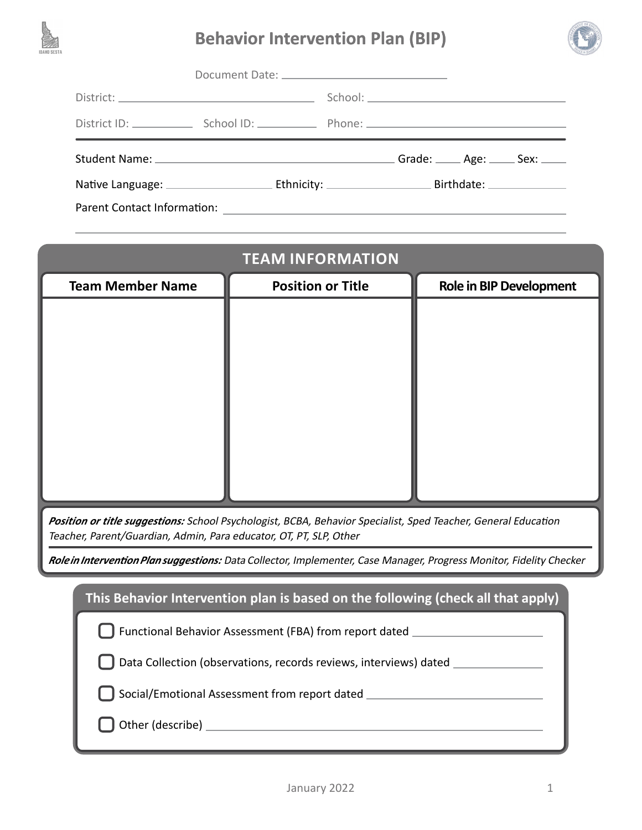

# **Behavior Intervention Plan (BIP)**



|                                    | Grade: _____ Age: _____ Sex: ____ |
|------------------------------------|-----------------------------------|
|                                    |                                   |
| <b>Parent Contact Information:</b> |                                   |

|                         | <b>TEAM INFORMATION</b>         |                                |
|-------------------------|---------------------------------|--------------------------------|
| <b>Team Member Name</b> | <b>Position or Title</b>        | <b>Role in BIP Development</b> |
|                         |                                 |                                |
|                         |                                 |                                |
|                         |                                 |                                |
|                         |                                 |                                |
|                         |                                 |                                |
|                         |                                 |                                |
|                         |                                 |                                |
|                         |                                 |                                |
| $\sim$ $\sim$           | $\cdot$ $\cdot$ $\cdot$ $\cdot$ | $\cdot$ $ \cdot$               |

*Position or title suggestions:* School Psychologist, BCBA, Behavior Specialist, Sped Teacher, General Education Teacher, Parent/Guardian, Admin, Para educator, OT, PT, SLP, Other

*Role in Intervention Plan suggestions:* Data Collector, Implementer, Case Manager, Progress Monitor, Fidelity Checker

| This Behavior Intervention plan is based on the following (check all that apply) |
|----------------------------------------------------------------------------------|
| [ ] Functional Behavior Assessment (FBA) from report dated ________              |
| [ ] Data Collection (observations, records reviews, interviews) dated ______     |
| Social/Emotional Assessment from report dated                                    |
|                                                                                  |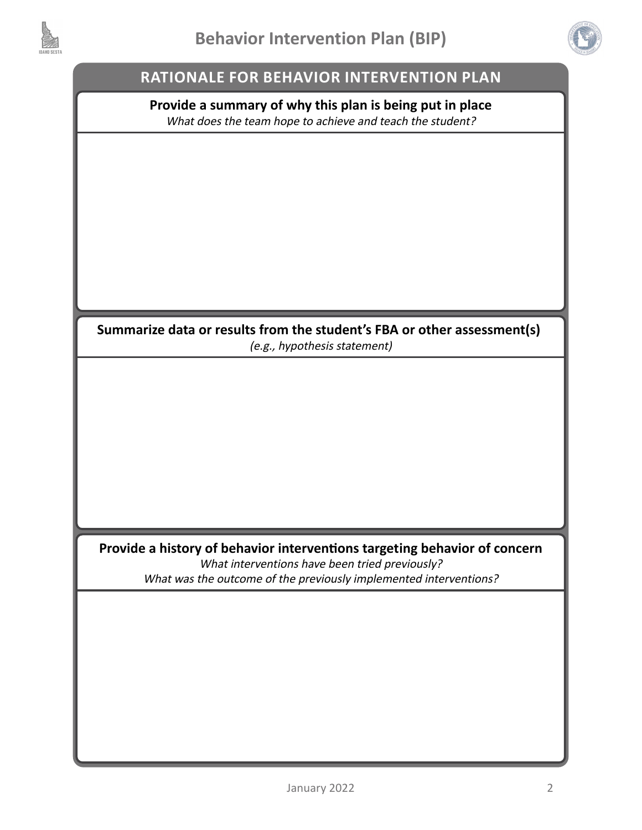



## **RATIONALE FOR BEHAVIOR INTERVENTION PLAN**

#### **Provide a summary of why this plan is being put in place** What does the team hope to achieve and teach the student?

**Summarize data or results from the student's FBA or other assessment(s)**  (e.g., hypothesis statement)

**Provide a history of behavior interventions targeting behavior of concern** What interventions have been tried previously? What was the outcome of the previously implemented interventions?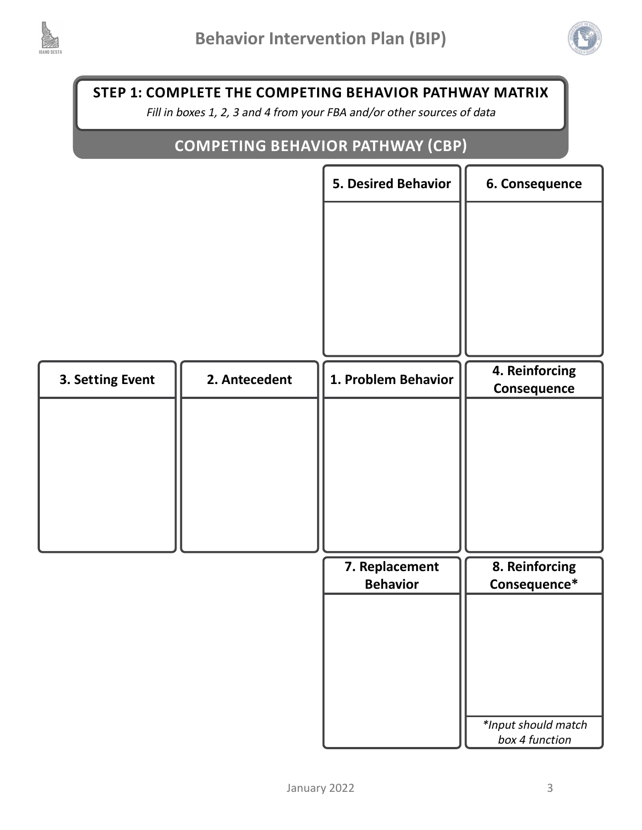



**STEP 1: COMPLETE THE COMPETING BEHAVIOR PATHWAY MATRIX**

Fill in boxes 1, 2, 3 and 4 from your FBA and/or other sources of data

# **COMPETING BEHAVIOR PATHWAY (CBP)**

|                  |               | 5. Desired Behavior               | 6. Consequence                        |
|------------------|---------------|-----------------------------------|---------------------------------------|
|                  |               |                                   |                                       |
|                  |               |                                   |                                       |
|                  |               |                                   |                                       |
|                  |               |                                   |                                       |
|                  |               |                                   |                                       |
| 3. Setting Event | 2. Antecedent | 1. Problem Behavior               | 4. Reinforcing<br>Consequence         |
|                  |               |                                   |                                       |
|                  |               |                                   |                                       |
|                  |               |                                   |                                       |
|                  |               |                                   |                                       |
|                  |               |                                   |                                       |
|                  |               | 7. Replacement<br><b>Behavior</b> | 8. Reinforcing<br>Consequence*        |
|                  |               |                                   |                                       |
|                  |               |                                   |                                       |
|                  |               |                                   |                                       |
|                  |               |                                   |                                       |
|                  |               |                                   | *Input should match<br>box 4 function |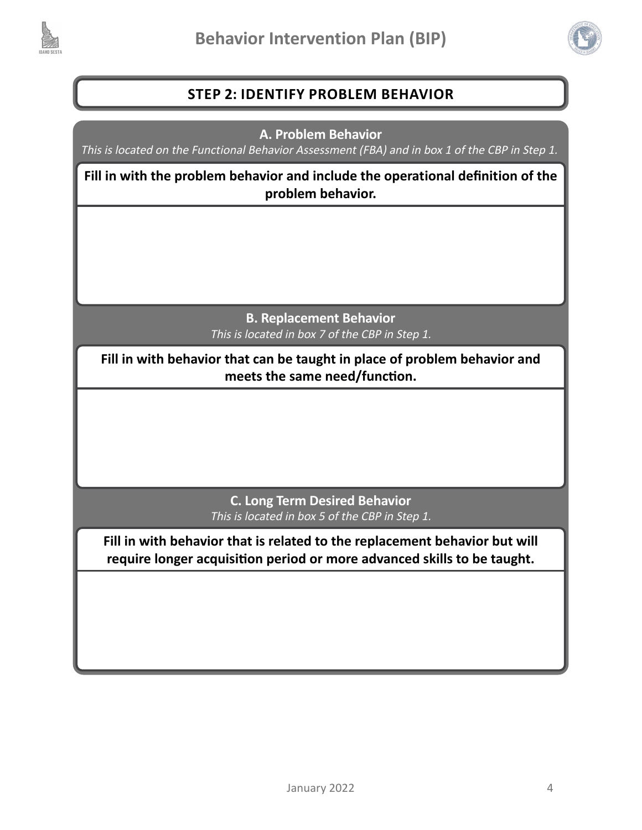



# **STEP 2: IDENTIFY PROBLEM BEHAVIOR**

**A. Problem Behavior**

This is located on the Functional Behavior Assessment (FBA) and in box 1 of the CBP in Step 1.

**Fill in with the problem behavior and include the operational definition of the problem behavior.** 

> **B. Replacement Behavior** This is located in box 7 of the CBP in Step 1.

**Fill in with behavior that can be taught in place of problem behavior and meets the same need/function.**

> **C. Long Term Desired Behavior** This is located in box 5 of the CBP in Step 1.

**Fill in with behavior that is related to the replacement behavior but will require longer acquisition period or more advanced skills to be taught.**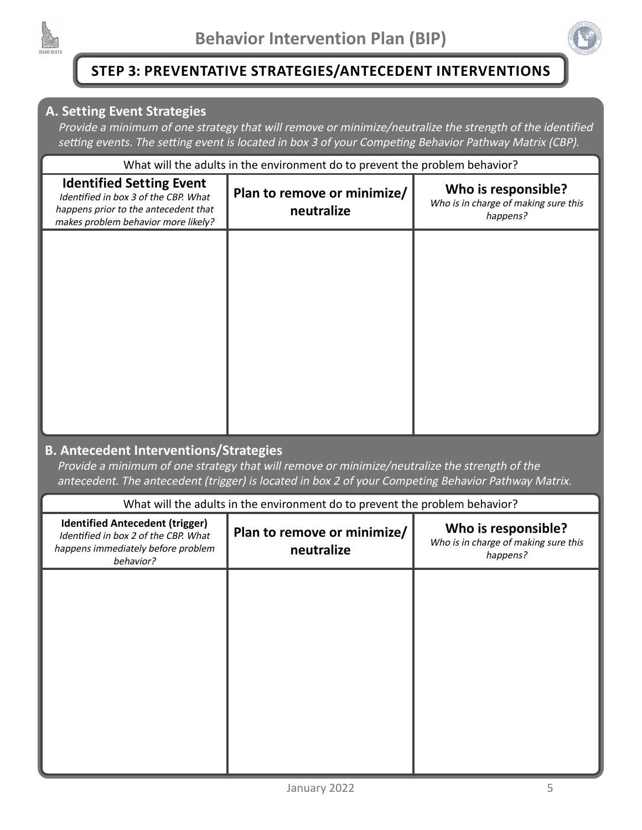



# **STEP 3: PREVENTATIVE STRATEGIES/ANTECEDENT INTERVENTIONS**

#### **A. Setting Event Strategies**

Provide a minimum of one strategy that will remove or minimize/neutralize the strength of the identified setting events. The setting event is located in box 3 of your Competing Behavior Pathway Matrix (CBP).

| What will the adults in the environment do to prevent the problem behavior?                                                                            |                                           |                                                                         |
|--------------------------------------------------------------------------------------------------------------------------------------------------------|-------------------------------------------|-------------------------------------------------------------------------|
| <b>Identified Setting Event</b><br>Identified in box 3 of the CBP. What<br>happens prior to the antecedent that<br>makes problem behavior more likely? | Plan to remove or minimize/<br>neutralize | Who is responsible?<br>Who is in charge of making sure this<br>happens? |
|                                                                                                                                                        |                                           |                                                                         |
|                                                                                                                                                        |                                           |                                                                         |
|                                                                                                                                                        |                                           |                                                                         |
|                                                                                                                                                        |                                           |                                                                         |

#### **B. Antecedent Interventions/Strategies**

Provide a minimum of one strategy that will remove or minimize/neutralize the strength of the antecedent. The antecedent (trigger) is located in box 2 of your Competing Behavior Pathway Matrix.

| What will the adults in the environment do to prevent the problem behavior?                                                       |                                           |                                                                         |
|-----------------------------------------------------------------------------------------------------------------------------------|-------------------------------------------|-------------------------------------------------------------------------|
| <b>Identified Antecedent (trigger)</b><br>Identified in box 2 of the CBP. What<br>happens immediately before problem<br>behavior? | Plan to remove or minimize/<br>neutralize | Who is responsible?<br>Who is in charge of making sure this<br>happens? |
|                                                                                                                                   |                                           |                                                                         |
|                                                                                                                                   |                                           |                                                                         |
|                                                                                                                                   |                                           |                                                                         |
|                                                                                                                                   |                                           |                                                                         |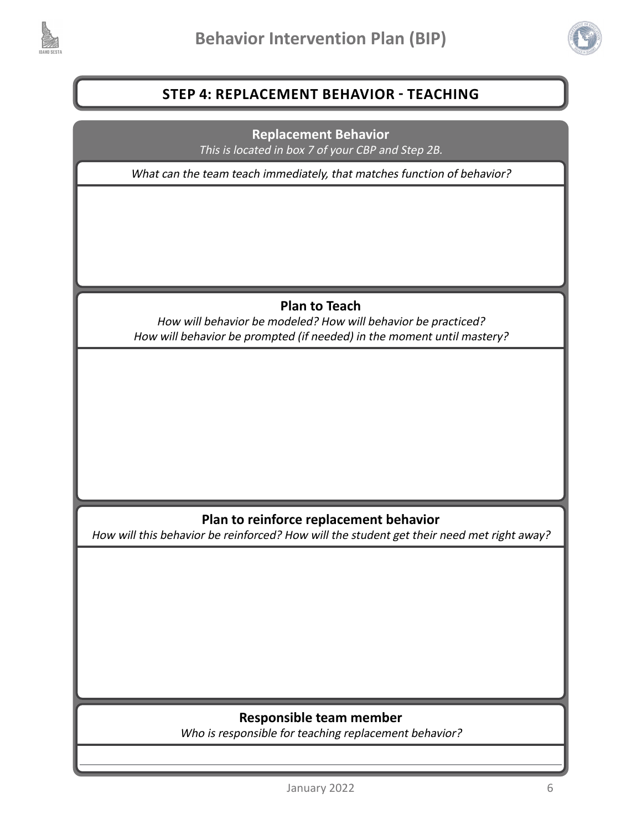



# **STEP 4: REPLACEMENT BEHAVIOR - TEACHING**

**Replacement Behavior** This is located in box 7 of your CBP and Step 2B.

What can the team teach immediately, that matches function of behavior?

# **Plan to Teach**

How will behavior be modeled? How will behavior be practiced? How will behavior be prompted (if needed) in the moment until mastery?

#### **Plan to reinforce replacement behavior**

How will this behavior be reinforced? How will the student get their need met right away?

#### **Responsible team member**

Who is responsible for teaching replacement behavior?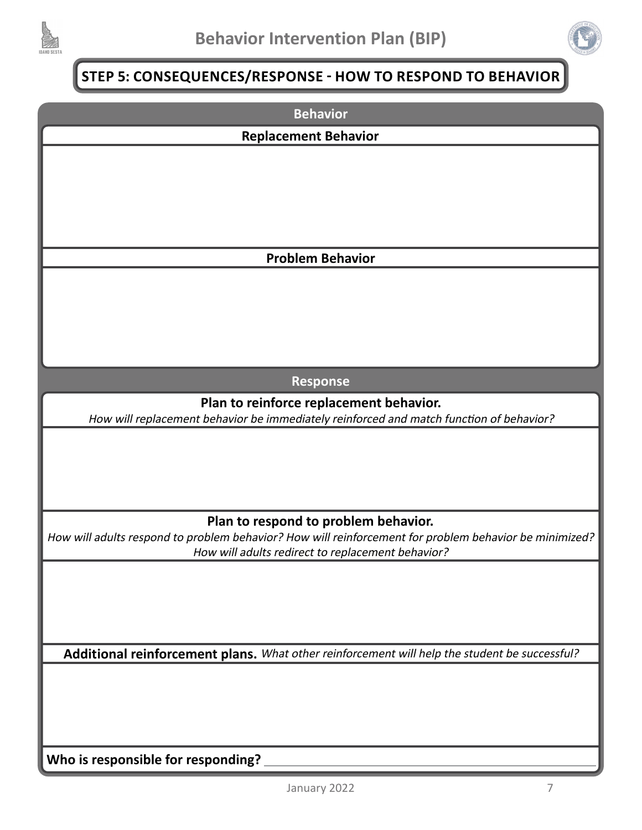



# **STEP 5: CONSEQUENCES/RESPONSE - HOW TO RESPOND TO BEHAVIOR**

| <b>Behavior</b>                                                                                                                                |
|------------------------------------------------------------------------------------------------------------------------------------------------|
| <b>Replacement Behavior</b>                                                                                                                    |
|                                                                                                                                                |
|                                                                                                                                                |
|                                                                                                                                                |
|                                                                                                                                                |
|                                                                                                                                                |
| <b>Problem Behavior</b>                                                                                                                        |
|                                                                                                                                                |
|                                                                                                                                                |
|                                                                                                                                                |
|                                                                                                                                                |
|                                                                                                                                                |
| <b>Response</b>                                                                                                                                |
| Plan to reinforce replacement behavior.                                                                                                        |
| How will replacement behavior be immediately reinforced and match function of behavior?                                                        |
|                                                                                                                                                |
|                                                                                                                                                |
|                                                                                                                                                |
|                                                                                                                                                |
| Plan to respond to problem behavior.<br>How will adults respond to problem behavior? How will reinforcement for problem behavior be minimized? |
| How will adults redirect to replacement behavior?                                                                                              |
|                                                                                                                                                |
|                                                                                                                                                |
|                                                                                                                                                |
|                                                                                                                                                |
| Additional reinforcement plans. What other reinforcement will help the student be successful?                                                  |
|                                                                                                                                                |
|                                                                                                                                                |
|                                                                                                                                                |
|                                                                                                                                                |
| Who is responsible for responding?                                                                                                             |
|                                                                                                                                                |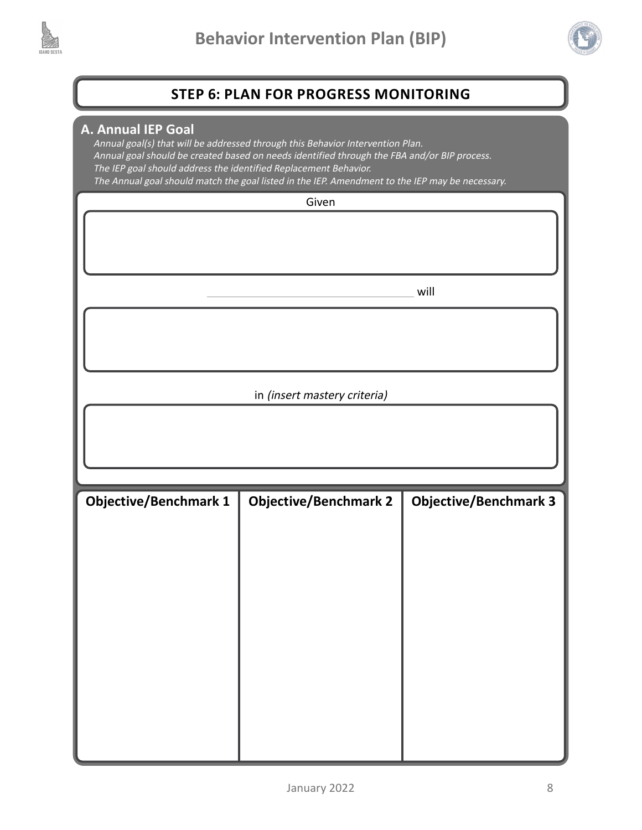



## **STEP 6: PLAN FOR PROGRESS MONITORING**

#### **A. Annual IEP Goal**

Annual goal(s) that will be addressed through this Behavior Intervention Plan. Annual goal should be created based on needs identified through the FBA and/or BIP process. The IEP goal should address the identified Replacement Behavior. The Annual goal should match the goal listed in the IEP. Amendment to the IEP may be necessary.

|                              | Given                        |                              |
|------------------------------|------------------------------|------------------------------|
|                              |                              |                              |
|                              |                              |                              |
|                              |                              | will                         |
|                              |                              |                              |
|                              |                              |                              |
|                              | in (insert mastery criteria) |                              |
|                              |                              |                              |
|                              |                              |                              |
|                              |                              |                              |
|                              |                              |                              |
| <b>Objective/Benchmark 1</b> | <b>Objective/Benchmark 2</b> | <b>Objective/Benchmark 3</b> |
|                              |                              |                              |
|                              |                              |                              |
|                              |                              |                              |
|                              |                              |                              |
|                              |                              |                              |
|                              |                              |                              |
|                              |                              |                              |
|                              |                              |                              |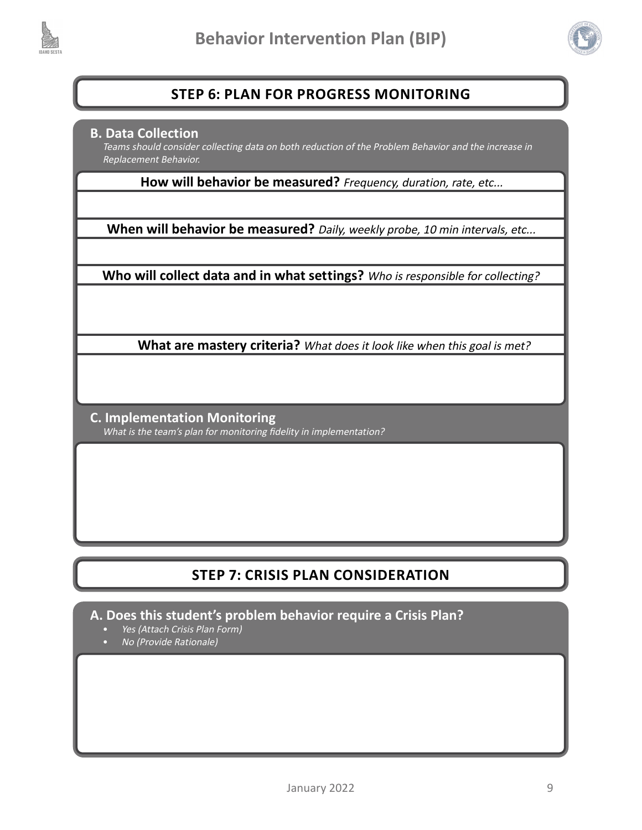



## **STEP 6: PLAN FOR PROGRESS MONITORING**

#### **B. Data Collection**

Teams should consider collecting data on both reduction of the Problem Behavior and the increase in Replacement Behavior.

**How will behavior be measured?** Frequency, duration, rate, etc...

When will behavior be measured? Daily, weekly probe, 10 min intervals, etc...

**Who will collect data and in what settings?** Who is responsible for collecting?

**What are mastery criteria?** What does it look like when this goal is met?

**C. Implementation Monitoring** What is the team's plan for monitoring fidelity in implementation?

# **STEP 7: CRISIS PLAN CONSIDERATION**

**A. Does this student's problem behavior require a Crisis Plan?**

- Yes (Attach Crisis Plan Form)
- No (Provide Rationale)